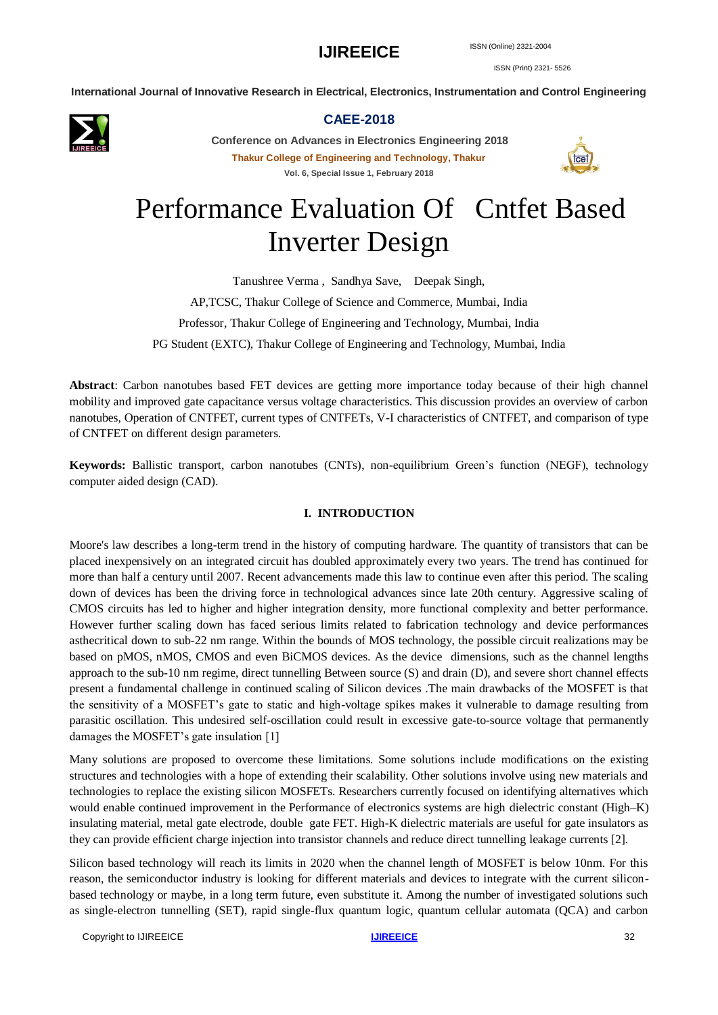ISSN (Print) 2321- 5526

**International Journal of Innovative Research in Electrical, Electronics, Instrumentation and Control Engineering**



#### **CAEE-2018**

**Conference on Advances in Electronics Engineering 2018 Thakur College of Engineering and Technology, Thakur Vol. 6, Special Issue 1, February 2018**



# Performance Evaluation Of Cntfet Based Inverter Design

Tanushree Verma , Sandhya Save, Deepak Singh, AP,TCSC, Thakur College of Science and Commerce, Mumbai, India Professor, Thakur College of Engineering and Technology, Mumbai, India PG Student (EXTC), Thakur College of Engineering and Technology, Mumbai, India

**Abstract**: Carbon nanotubes based FET devices are getting more importance today because of their high channel mobility and improved gate capacitance versus voltage characteristics. This discussion provides an overview of carbon nanotubes, Operation of CNTFET, current types of CNTFETs, V-I characteristics of CNTFET, and comparison of type of CNTFET on different design parameters.

**Keywords:** Ballistic transport, carbon nanotubes (CNTs), non-equilibrium Green's function (NEGF), technology computer aided design (CAD).

#### **I. INTRODUCTION**

Moore's law describes a long-term trend in the history of computing hardware. The quantity of transistors that can be placed inexpensively on an integrated circuit has doubled approximately every two years. The trend has continued for more than half a century until 2007. Recent advancements made this law to continue even after this period. The scaling down of devices has been the driving force in technological advances since late 20th century. Aggressive scaling of CMOS circuits has led to higher and higher integration density, more functional complexity and better performance. However further scaling down has faced serious limits related to fabrication technology and device performances asthecritical down to sub-22 nm range. Within the bounds of MOS technology, the possible circuit realizations may be based on pMOS, nMOS, CMOS and even BiCMOS devices. As the device dimensions, such as the channel lengths approach to the sub-10 nm regime, direct tunnelling Between source (S) and drain (D), and severe short channel effects present a fundamental challenge in continued scaling of Silicon devices .The main drawbacks of the MOSFET is that the sensitivity of a MOSFET's gate to static and high-voltage spikes makes it vulnerable to damage resulting from parasitic oscillation. This undesired self-oscillation could result in excessive gate-to-source voltage that permanently damages the MOSFET's gate insulation [1]

Many solutions are proposed to overcome these limitations. Some solutions include modifications on the existing structures and technologies with a hope of extending their scalability. Other solutions involve using new materials and technologies to replace the existing silicon MOSFETs. Researchers currently focused on identifying alternatives which would enable continued improvement in the Performance of electronics systems are high dielectric constant (High–K) insulating material, metal gate electrode, double gate FET. High-K dielectric materials are useful for gate insulators as they can provide efficient charge injection into transistor channels and reduce direct tunnelling leakage currents [2].

Silicon based technology will reach its limits in 2020 when the channel length of MOSFET is below 10nm. For this reason, the semiconductor industry is looking for different materials and devices to integrate with the current siliconbased technology or maybe, in a long term future, even substitute it. Among the number of investigated solutions such as single-electron tunnelling (SET), rapid single-flux quantum logic, quantum cellular automata (QCA) and carbon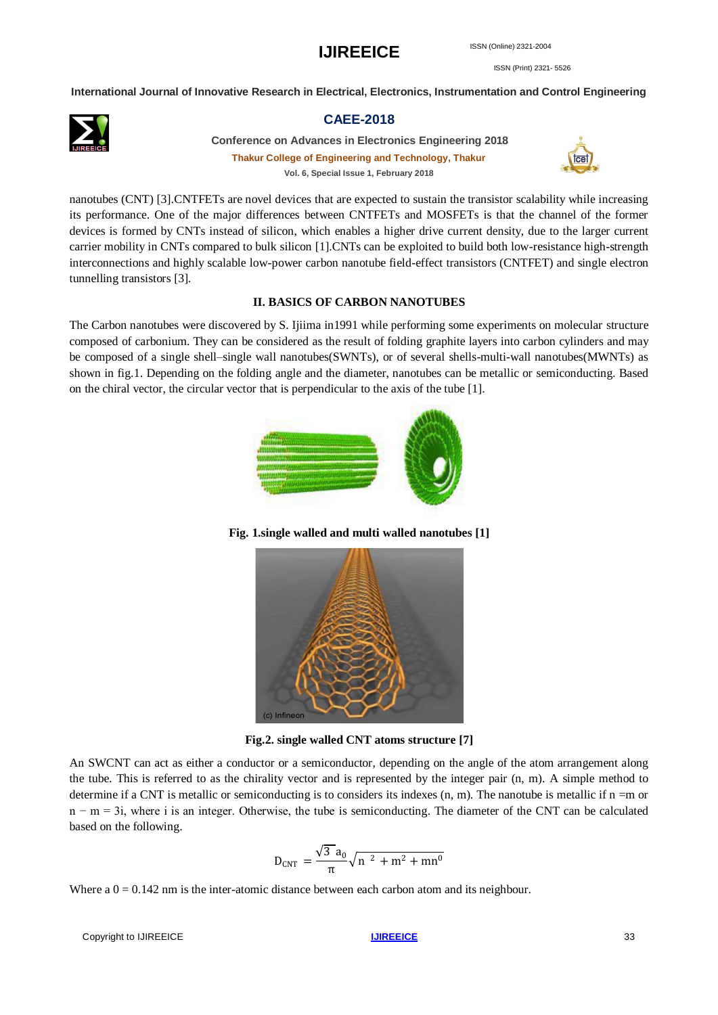ISSN (Print) 2321- 5526

**International Journal of Innovative Research in Electrical, Electronics, Instrumentation and Control Engineering**



#### **CAEE-2018**

**Conference on Advances in Electronics Engineering 2018 Thakur College of Engineering and Technology, Thakur Vol. 6, Special Issue 1, February 2018**



nanotubes (CNT) [3].CNTFETs are novel devices that are expected to sustain the transistor scalability while increasing its performance. One of the major differences between CNTFETs and MOSFETs is that the channel of the former devices is formed by CNTs instead of silicon, which enables a higher drive current density, due to the larger current carrier mobility in CNTs compared to bulk silicon [1].CNTs can be exploited to build both low-resistance high-strength interconnections and highly scalable low-power carbon nanotube field-effect transistors (CNTFET) and single electron tunnelling transistors [3].

#### **II. BASICS OF CARBON NANOTUBES**

The Carbon nanotubes were discovered by S. Ijiima in1991 while performing some experiments on molecular structure composed of carbonium. They can be considered as the result of folding graphite layers into carbon cylinders and may be composed of a single shell–single wall nanotubes(SWNTs), or of several shells-multi-wall nanotubes(MWNTs) as shown in fig.1. Depending on the folding angle and the diameter, nanotubes can be metallic or semiconducting. Based on the chiral vector, the circular vector that is perpendicular to the axis of the tube [1].



**Fig. 1.single walled and multi walled nanotubes [1]**



**Fig.2. single walled CNT atoms structure [7]**

An SWCNT can act as either a conductor or a semiconductor, depending on the angle of the atom arrangement along the tube. This is referred to as the chirality vector and is represented by the integer pair (n, m). A simple method to determine if a CNT is metallic or semiconducting is to considers its indexes  $(n, m)$ . The nanotube is metallic if  $n = m$  or n − m = 3i, where i is an integer. Otherwise, the tube is semiconducting. The diameter of the CNT can be calculated based on the following.

$$
D_{\text{CNT}} = \frac{\sqrt{3} a_0}{\pi} \sqrt{n^2 + m^2 + mn^0}
$$

Where  $a = 0.142$  nm is the inter-atomic distance between each carbon atom and its neighbour.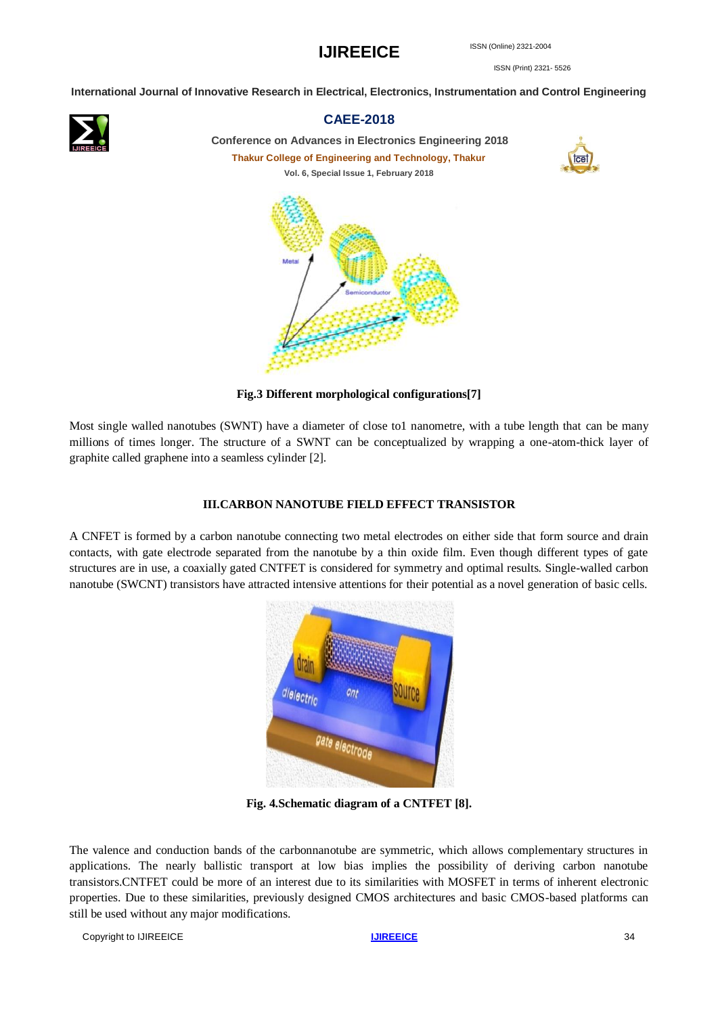ISSN (Print) 2321- 5526

**International Journal of Innovative Research in Electrical, Electronics, Instrumentation and Control Engineering**



### **CAEE-2018**

**Conference on Advances in Electronics Engineering 2018 Thakur College of Engineering and Technology, Thakur Vol. 6, Special Issue 1, February 2018**



**Fig.3 Different morphological configurations[7]**

Most single walled nanotubes (SWNT) have a diameter of close to1 nanometre, with a tube length that can be many millions of times longer. The structure of a SWNT can be conceptualized by wrapping a one-atom-thick layer of graphite called graphene into a seamless cylinder [2].

#### **III.CARBON NANOTUBE FIELD EFFECT TRANSISTOR**

A CNFET is formed by a carbon nanotube connecting two metal electrodes on either side that form source and drain contacts, with gate electrode separated from the nanotube by a thin oxide film. Even though different types of gate structures are in use, a coaxially gated CNTFET is considered for symmetry and optimal results. Single-walled carbon nanotube (SWCNT) transistors have attracted intensive attentions for their potential as a novel generation of basic cells.



**Fig. 4.Schematic diagram of a CNTFET [8].**

The valence and conduction bands of the carbonnanotube are symmetric, which allows complementary structures in applications. The nearly ballistic transport at low bias implies the possibility of deriving carbon nanotube transistors.CNTFET could be more of an interest due to its similarities with MOSFET in terms of inherent electronic properties. Due to these similarities, previously designed CMOS architectures and basic CMOS-based platforms can still be used without any major modifications.

**Copyright to [IJIREEICE](http://www.ijireeice.com/)** 34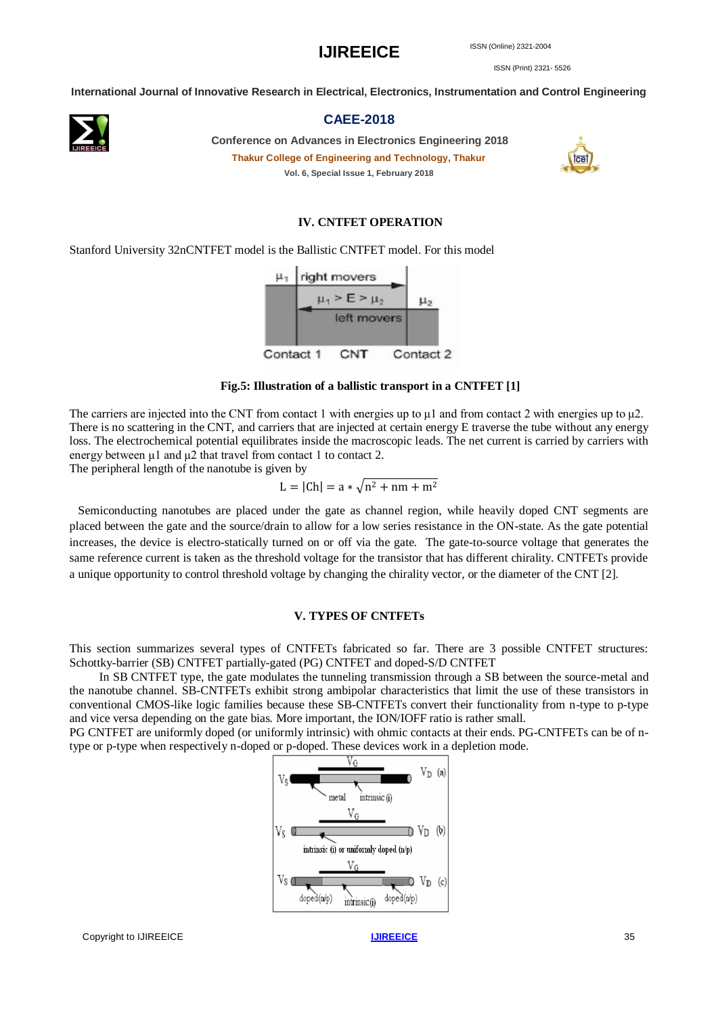ISSN (Print) 2321- 5526

**International Journal of Innovative Research in Electrical, Electronics, Instrumentation and Control Engineering**



#### **CAEE-2018**

**Conference on Advances in Electronics Engineering 2018 Thakur College of Engineering and Technology, Thakur Vol. 6, Special Issue 1, February 2018**



#### **IV. CNTFET OPERATION**

Stanford University 32nCNTFET model is the Ballistic CNTFET model. For this model



#### **Fig.5: Illustration of a ballistic transport in a CNTFET [1]**

The carriers are injected into the CNT from contact 1 with energies up to  $\mu$ 1 and from contact 2 with energies up to  $\mu$ 2. There is no scattering in the CNT, and carriers that are injected at certain energy E traverse the tube without any energy loss. The electrochemical potential equilibrates inside the macroscopic leads. The net current is carried by carriers with energy between μ1 and μ2 that travel from contact 1 to contact 2.

The peripheral length of the nanotube is given by

$$
L = |Ch| = a * \sqrt{n^2 + nm + m^2}
$$

 Semiconducting nanotubes are placed under the gate as channel region, while heavily doped CNT segments are placed between the gate and the source/drain to allow for a low series resistance in the ON-state. As the gate potential increases, the device is electro-statically turned on or off via the gate. The gate-to-source voltage that generates the same reference current is taken as the threshold voltage for the transistor that has different chirality. CNTFETs provide a unique opportunity to control threshold voltage by changing the chirality vector, or the diameter of the CNT [2].

#### **V. TYPES OF CNTFETs**

This section summarizes several types of CNTFETs fabricated so far. There are 3 possible CNTFET structures: Schottky-barrier (SB) CNTFET partially-gated (PG) CNTFET and doped-S/D CNTFET

 In SB CNTFET type, the gate modulates the tunneling transmission through a SB between the source-metal and the nanotube channel. SB-CNTFETs exhibit strong ambipolar characteristics that limit the use of these transistors in conventional CMOS-like logic families because these SB-CNTFETs convert their functionality from n-type to p-type and vice versa depending on the gate bias. More important, the ION/IOFF ratio is rather small.

PG CNTFET are uniformly doped (or uniformly intrinsic) with ohmic contacts at their ends. PG-CNTFETs can be of ntype or p-type when respectively n-doped or p-doped. These devices work in a depletion mode.

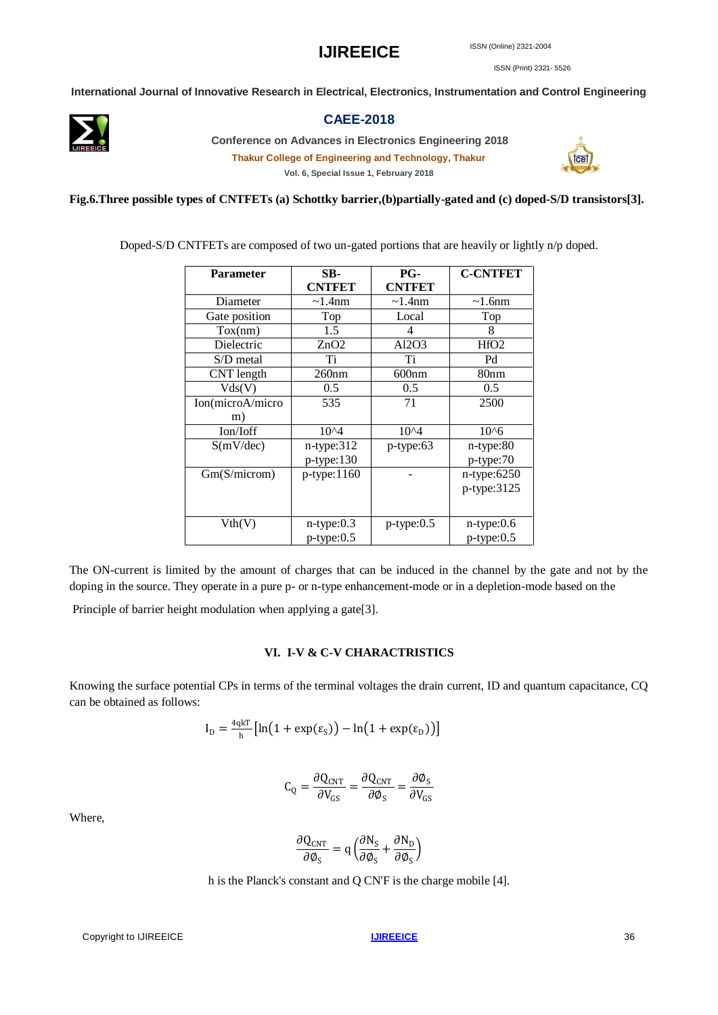ISSN (Print) 2321- 5526

**International Journal of Innovative Research in Electrical, Electronics, Instrumentation and Control Engineering**



#### **CAEE-2018**

**Conference on Advances in Electronics Engineering 2018**

**Thakur College of Engineering and Technology, Thakur Vol. 6, Special Issue 1, February 2018**



**Fig.6.Three possible types of CNTFETs (a) Schottky barrier,(b)partially-gated and (c) doped-S/D transistors[3].**

Doped-S/D CNTFETs are composed of two un-gated portions that are heavily or lightly n/p doped.

| <b>Parameter</b> | SB-              | PG-              | <b>C-CNTFET</b>  |
|------------------|------------------|------------------|------------------|
|                  | <b>CNTFET</b>    | <b>CNTFET</b>    |                  |
| Diameter         | $\sim$ 1.4nm     | $\sim$ 1.4nm     | $\sim$ 1.6nm     |
| Gate position    | Top              | Local            | Top              |
| Tox(nm)          | 1.5              | 4                | 8                |
| Dielectric       | ZnO2             | AI2O3            | HfO2             |
| S/D metal        | Ti               | Ti               | Pd               |
| CNT length       | 260nm            | 600nm            | 80nm             |
| Vds(V)           | 0.5              | 0.5              | 0.5              |
| Ion(microA/micro | 535              | 71               | 2500             |
| m)               |                  |                  |                  |
| Ion/Ioff         | $10^{4}$         | $10^{4}$         | $10^{6}$         |
| S(mV/dec)        | $n$ -type: $312$ | $p$ -type:63     | $n$ -type: $80$  |
|                  | $p$ -type: 130   |                  | p-type:70        |
| Gm(S/microm)     | $p$ -type: 1160  |                  | n-type:6250      |
|                  |                  |                  | p-type:3125      |
|                  |                  |                  |                  |
| Vth(V)           | $n$ -type: $0.3$ | $p$ -type: $0.5$ | n-type:0.6       |
|                  | $p$ -type: $0.5$ |                  | $p$ -type: $0.5$ |

The ON-current is limited by the amount of charges that can be induced in the channel by the gate and not by the doping in the source. They operate in a pure p- or n-type enhancement-mode or in a depletion-mode based on the

Principle of barrier height modulation when applying a gate[3].

#### **VI. I-V & C-V CHARACTRISTICS**

Knowing the surface potential CPs in terms of the terminal voltages the drain current, ID and quantum capacitance, CQ can be obtained as follows:

$$
I_{D} = \frac{4qkT}{h} \left[ \ln(1 + \exp(\epsilon_{S})) - \ln(1 + \exp(\epsilon_{D})) \right]
$$

$$
C_{Q} = \frac{\partial Q_{CNT}}{\partial V_{GS}} = \frac{\partial Q_{CNT}}{\partial \phi_{S}} = \frac{\partial \phi_{S}}{\partial V_{GS}}
$$

Where,

$$
\frac{\partial Q_{\text{CNT}}}{\partial \phi_{\text{S}}} = q \left( \frac{\partial N_{\text{S}}}{\partial \phi_{\text{S}}} + \frac{\partial N_{\text{D}}}{\partial \phi_{\text{S}}} \right)
$$

h is the Planck's constant and Q CN'F is the charge mobile [4].

**Copyright to [IJIREEICE](http://www.ijireeice.com/)** 36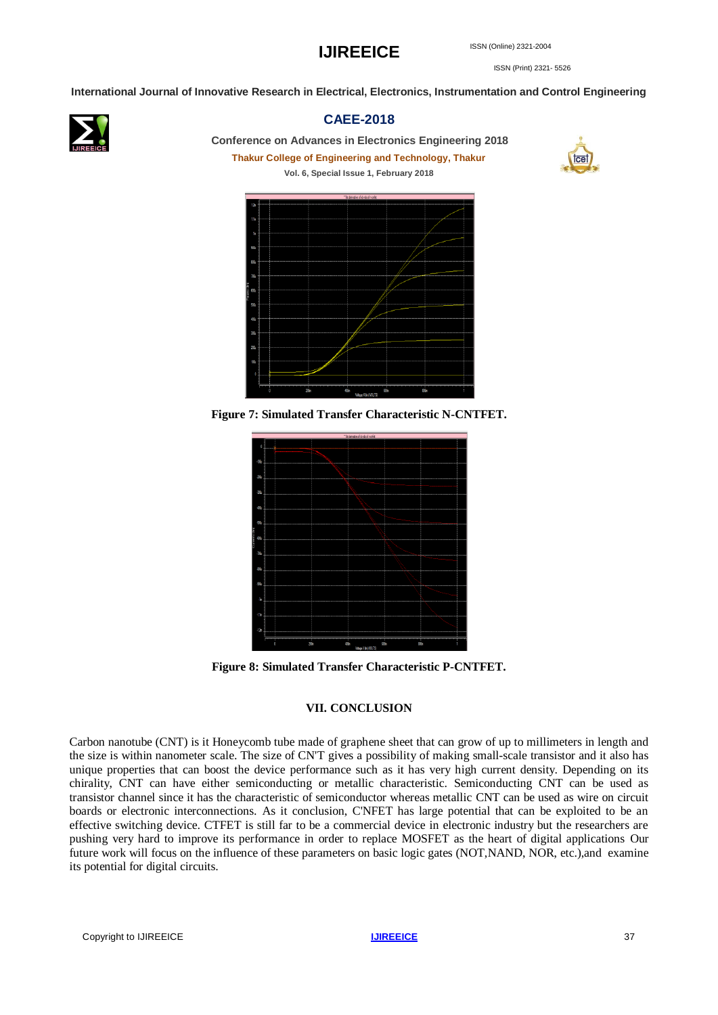ISSN (Print) 2321- 5526

**International Journal of Innovative Research in Electrical, Electronics, Instrumentation and Control Engineering**



### **CAEE-2018**

**Conference on Advances in Electronics Engineering 2018**

**Thakur College of Engineering and Technology, Thakur Vol. 6, Special Issue 1, February 2018**





**Figure 7: Simulated Transfer Characteristic N-CNTFET.**



**Figure 8: Simulated Transfer Characteristic P-CNTFET.**

#### **VII. CONCLUSION**

Carbon nanotube (CNT) is it Honeycomb tube made of graphene sheet that can grow of up to millimeters in length and the size is within nanometer scale. The size of CN'T gives a possibility of making small-scale transistor and it also has unique properties that can boost the device performance such as it has very high current density. Depending on its chirality, CNT can have either semiconducting or metallic characteristic. Semiconducting CNT can be used as transistor channel since it has the characteristic of semiconductor whereas metallic CNT can be used as wire on circuit boards or electronic interconnections. As it conclusion, C'NFET has large potential that can be exploited to be an effective switching device. CTFET is still far to be a commercial device in electronic industry but the researchers are pushing very hard to improve its performance in order to replace MOSFET as the heart of digital applications Our future work will focus on the influence of these parameters on basic logic gates (NOT,NAND, NOR, etc.),and examine its potential for digital circuits.